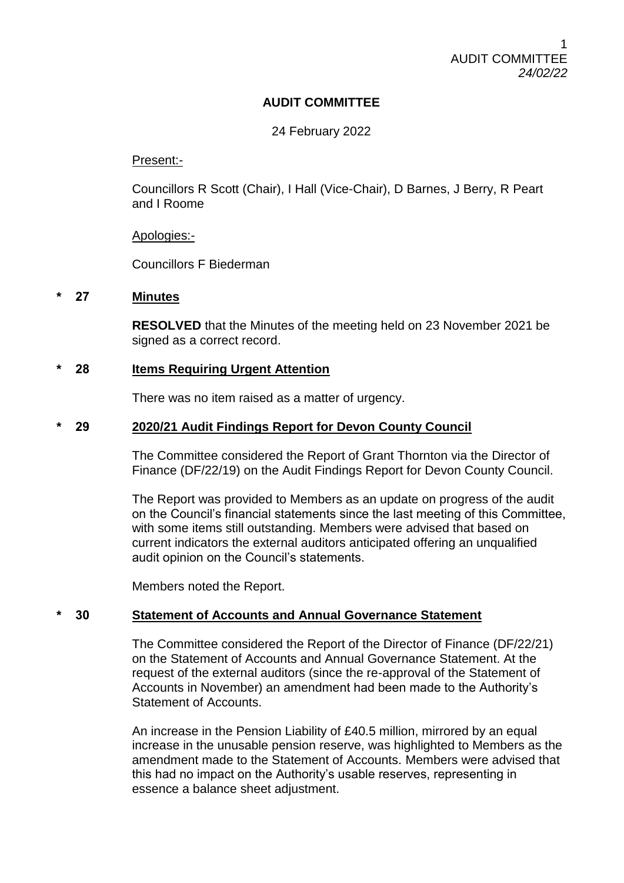# **AUDIT COMMITTEE**

## 24 February 2022

## Present:-

Councillors R Scott (Chair), I Hall (Vice-Chair), D Barnes, J Berry, R Peart and I Roome

## Apologies:-

Councillors F Biederman

## **\* 27 Minutes**

**RESOLVED** that the Minutes of the meeting held on 23 November 2021 be signed as a correct record.

## **\* 28 Items Requiring Urgent Attention**

There was no item raised as a matter of urgency.

## **\* 29 2020/21 Audit Findings Report for Devon County Council**

The Committee considered the Report of Grant Thornton via the Director of Finance (DF/22/19) on the Audit Findings Report for Devon County Council.

The Report was provided to Members as an update on progress of the audit on the Council's financial statements since the last meeting of this Committee, with some items still outstanding. Members were advised that based on current indicators the external auditors anticipated offering an unqualified audit opinion on the Council's statements.

Members noted the Report.

# **\* 30 Statement of Accounts and Annual Governance Statement**

The Committee considered the Report of the Director of Finance (DF/22/21) on the Statement of Accounts and Annual Governance Statement. At the request of the external auditors (since the re-approval of the Statement of Accounts in November) an amendment had been made to the Authority's Statement of Accounts.

An increase in the Pension Liability of £40.5 million, mirrored by an equal increase in the unusable pension reserve, was highlighted to Members as the amendment made to the Statement of Accounts. Members were advised that this had no impact on the Authority's usable reserves, representing in essence a balance sheet adjustment.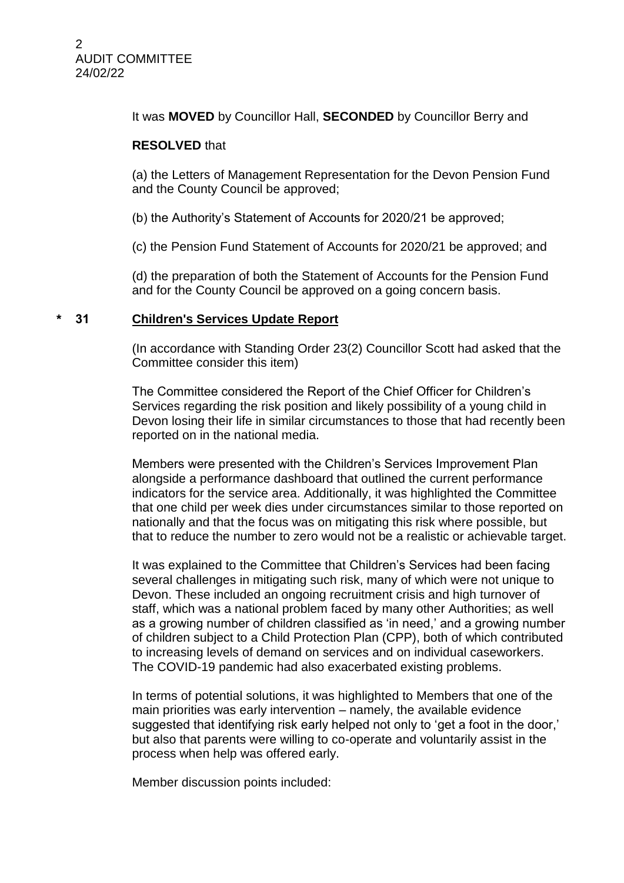It was **MOVED** by Councillor Hall, **SECONDED** by Councillor Berry and

## **RESOLVED** that

(a) the Letters of Management Representation for the Devon Pension Fund and the County Council be approved;

(b) the Authority's Statement of Accounts for 2020/21 be approved;

(c) the Pension Fund Statement of Accounts for 2020/21 be approved; and

(d) the preparation of both the Statement of Accounts for the Pension Fund and for the County Council be approved on a going concern basis.

# **\* 31 Children's Services Update Report**

(In accordance with Standing Order 23(2) Councillor Scott had asked that the Committee consider this item)

The Committee considered the Report of the Chief Officer for Children's Services regarding the risk position and likely possibility of a young child in Devon losing their life in similar circumstances to those that had recently been reported on in the national media.

Members were presented with the Children's Services Improvement Plan alongside a performance dashboard that outlined the current performance indicators for the service area. Additionally, it was highlighted the Committee that one child per week dies under circumstances similar to those reported on nationally and that the focus was on mitigating this risk where possible, but that to reduce the number to zero would not be a realistic or achievable target.

It was explained to the Committee that Children's Services had been facing several challenges in mitigating such risk, many of which were not unique to Devon. These included an ongoing recruitment crisis and high turnover of staff, which was a national problem faced by many other Authorities; as well as a growing number of children classified as 'in need,' and a growing number of children subject to a Child Protection Plan (CPP), both of which contributed to increasing levels of demand on services and on individual caseworkers. The COVID-19 pandemic had also exacerbated existing problems.

In terms of potential solutions, it was highlighted to Members that one of the main priorities was early intervention – namely, the available evidence suggested that identifying risk early helped not only to 'get a foot in the door,' but also that parents were willing to co-operate and voluntarily assist in the process when help was offered early.

Member discussion points included: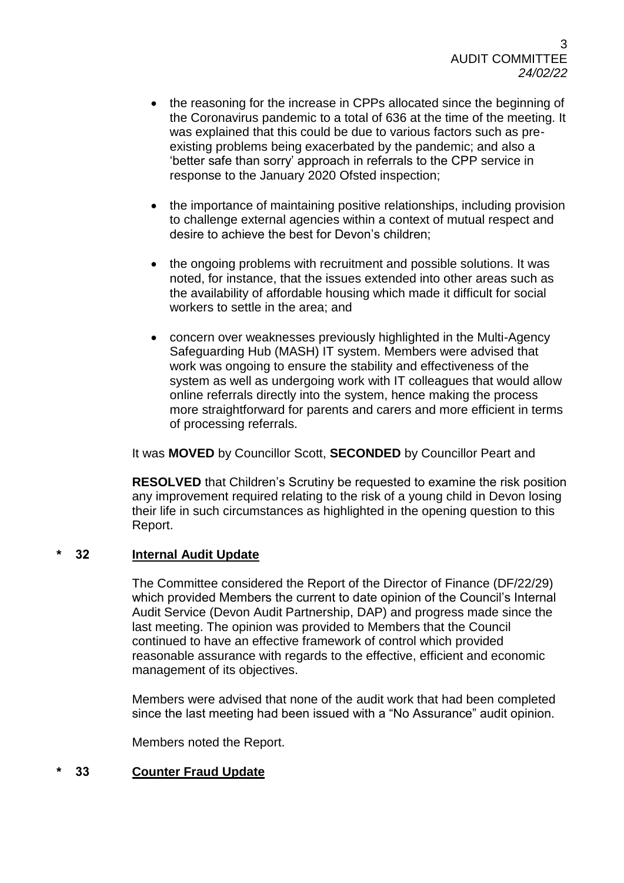- the reasoning for the increase in CPPs allocated since the beginning of the Coronavirus pandemic to a total of 636 at the time of the meeting. It was explained that this could be due to various factors such as preexisting problems being exacerbated by the pandemic; and also a 'better safe than sorry' approach in referrals to the CPP service in response to the January 2020 Ofsted inspection;
- the importance of maintaining positive relationships, including provision to challenge external agencies within a context of mutual respect and desire to achieve the best for Devon's children;
- the ongoing problems with recruitment and possible solutions. It was noted, for instance, that the issues extended into other areas such as the availability of affordable housing which made it difficult for social workers to settle in the area; and
- concern over weaknesses previously highlighted in the Multi-Agency Safeguarding Hub (MASH) IT system. Members were advised that work was ongoing to ensure the stability and effectiveness of the system as well as undergoing work with IT colleagues that would allow online referrals directly into the system, hence making the process more straightforward for parents and carers and more efficient in terms of processing referrals.

It was **MOVED** by Councillor Scott, **SECONDED** by Councillor Peart and

**RESOLVED** that Children's Scrutiny be requested to examine the risk position any improvement required relating to the risk of a young child in Devon losing their life in such circumstances as highlighted in the opening question to this Report.

## **\* 32 Internal Audit Update**

The Committee considered the Report of the Director of Finance (DF/22/29) which provided Members the current to date opinion of the Council's Internal Audit Service (Devon Audit Partnership, DAP) and progress made since the last meeting. The opinion was provided to Members that the Council continued to have an effective framework of control which provided reasonable assurance with regards to the effective, efficient and economic management of its objectives.

Members were advised that none of the audit work that had been completed since the last meeting had been issued with a "No Assurance" audit opinion.

Members noted the Report.

# **\* 33 Counter Fraud Update**